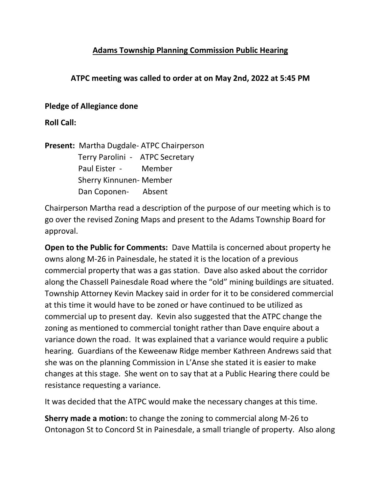# **Adams Township Planning Commission Public Hearing**

# **ATPC meeting was called to order at on May 2nd, 2022 at 5:45 PM**

### **Pledge of Allegiance done**

**Roll Call:**

**Present:** Martha Dugdale- ATPC Chairperson Terry Parolini - ATPC Secretary Paul Eister - Member Sherry Kinnunen- Member Dan Coponen- Absent

Chairperson Martha read a description of the purpose of our meeting which is to go over the revised Zoning Maps and present to the Adams Township Board for approval.

**Open to the Public for Comments:** Dave Mattila is concerned about property he owns along M-26 in Painesdale, he stated it is the location of a previous commercial property that was a gas station. Dave also asked about the corridor along the Chassell Painesdale Road where the "old" mining buildings are situated. Township Attorney Kevin Mackey said in order for it to be considered commercial at this time it would have to be zoned or have continued to be utilized as commercial up to present day. Kevin also suggested that the ATPC change the zoning as mentioned to commercial tonight rather than Dave enquire about a variance down the road. It was explained that a variance would require a public hearing. Guardians of the Keweenaw Ridge member Kathreen Andrews said that she was on the planning Commission in L'Anse she stated it is easier to make changes at this stage. She went on to say that at a Public Hearing there could be resistance requesting a variance.

It was decided that the ATPC would make the necessary changes at this time.

**Sherry made a motion:** to change the zoning to commercial along M-26 to Ontonagon St to Concord St in Painesdale, a small triangle of property. Also along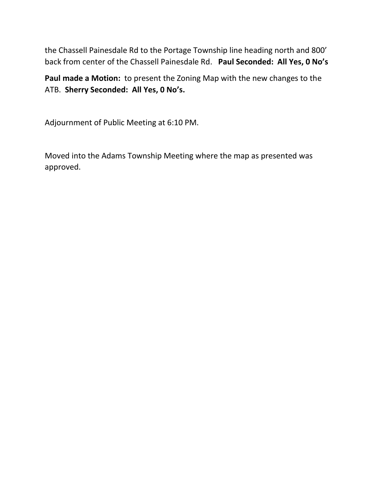the Chassell Painesdale Rd to the Portage Township line heading north and 800' back from center of the Chassell Painesdale Rd. **Paul Seconded: All Yes, 0 No's**

**Paul made a Motion:** to present the Zoning Map with the new changes to the ATB. **Sherry Seconded: All Yes, 0 No's.**

Adjournment of Public Meeting at 6:10 PM.

Moved into the Adams Township Meeting where the map as presented was approved.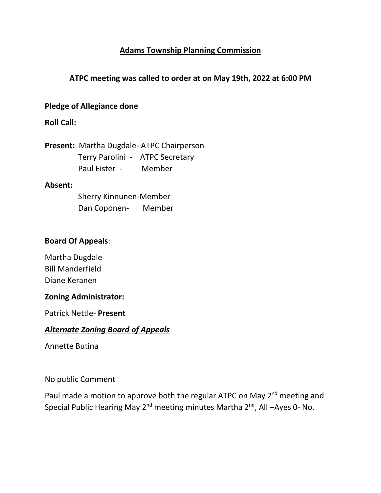# **Adams Township Planning Commission**

## **ATPC meeting was called to order at on May 19th, 2022 at 6:00 PM**

#### **Pledge of Allegiance done**

## **Roll Call:**

**Present:** Martha Dugdale- ATPC Chairperson Terry Parolini - ATPC Secretary Paul Eister - Member

#### **Absent:**

 Sherry Kinnunen-Member Dan Coponen- Member

# **Board Of Appeals**:

Martha Dugdale Bill Manderfield Diane Keranen

#### **Zoning Administrator:**

Patrick Nettle- **Present**

#### *Alternate Zoning Board of Appeals*

Annette Butina

No public Comment

Paul made a motion to approve both the regular ATPC on May 2<sup>nd</sup> meeting and Special Public Hearing May 2<sup>nd</sup> meeting minutes Martha 2<sup>nd</sup>, All –Ayes 0- No.